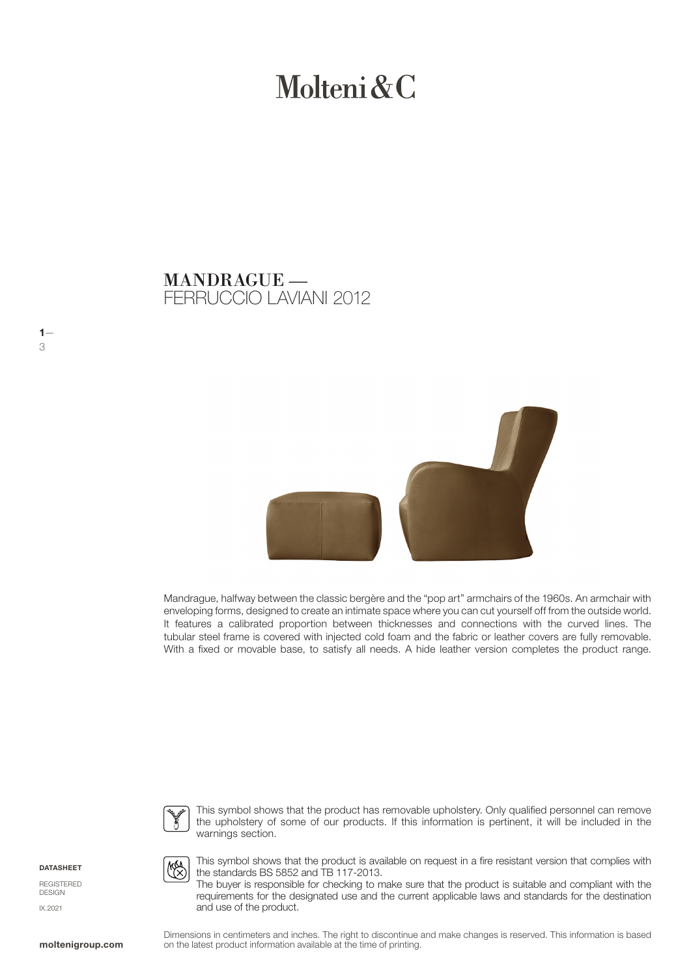# Molteni & C

### FERRUCCIO LAVIANI 2012 MANDRAGUE —



Mandrague, halfway between the classic bergère and the "pop art" armchairs of the 1960s. An armchair with enveloping forms, designed to create an intimate space where you can cut yourself off from the outside world. It features a calibrated proportion between thicknesses and connections with the curved lines. The tubular steel frame is covered with injected cold foam and the fabric or leather covers are fully removable. With a fixed or movable base, to satisfy all needs. A hide leather version completes the product range.



This symbol shows that the product has removable upholstery. Only qualified personnel can remove the upholstery of some of our products. If this information is pertinent, it will be included in the warnings section.

**DATASHEET** 

 $1-$ 

3

REGISTERED DESIGN IX.2021



This symbol shows that the product is available on request in a fire resistant version that complies with the standards BS 5852 and TB 117-2013.

The buyer is responsible for checking to make sure that the product is suitable and compliant with the requirements for the designated use and the current applicable laws and standards for the destination and use of the product.

Dimensions in centimeters and inches. The right to discontinue and make changes is reserved. This information is based **moltenigroup.com** on the latest product information available at the time of printing.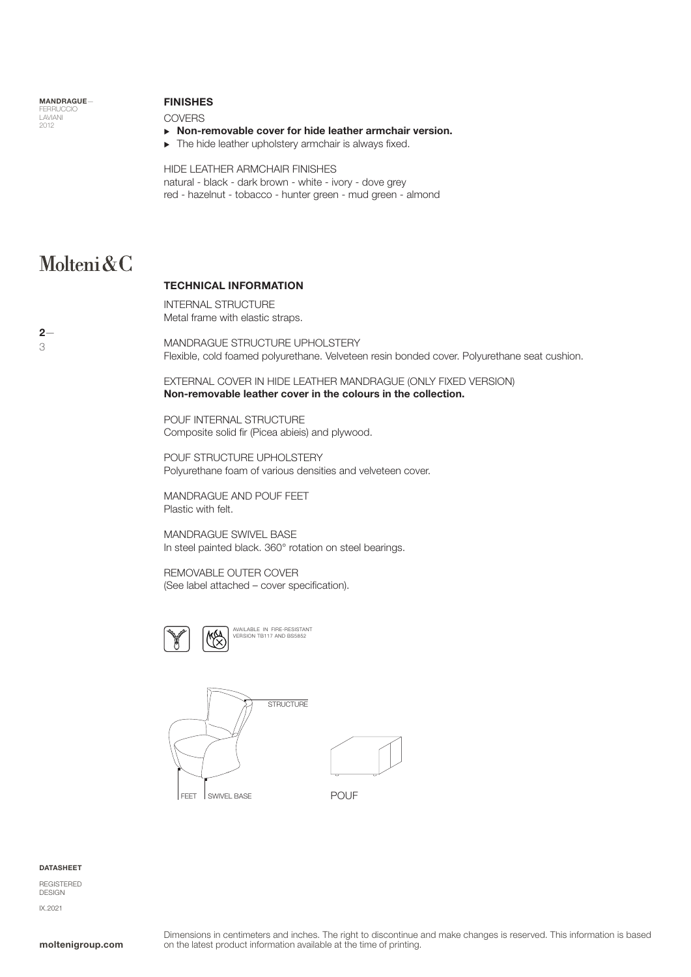MANDRAGUE— FERRUCCIO LAVIANI 2012

#### FINISHES

**COVERS** 

- $\triangleright$  Non-removable cover for hide leather armchair version.
- $\blacktriangleright$  The hide leather upholstery armchair is always fixed.

HIDE LEATHER ARMCHAIR FINISHES natural - black - dark brown - white - ivory - dove grey

red - hazelnut - tobacco - hunter green - mud green - almond

### Molteni&C

#### TECHNICAL INFORMATION

INTERNAL STRUCTURE Metal frame with elastic straps.

MANDRAGUE STRUCTURE UPHOLSTERY Flexible, cold foamed polyurethane. Velveteen resin bonded cover. Polyurethane seat cushion.

EXTERNAL COVER IN HIDE LEATHER MANDRAGUE (ONLY FIXED VERSION) Non-removable leather cover in the colours in the collection.

POUF INTERNAL STRUCTURE Composite solid fir (Picea abieis) and plywood.

POUF STRUCTURE UPHOLSTERY Polyurethane foam of various densities and velveteen cover.

MANDRAGUE AND POUF FEET Plastic with felt.

MANDRAGUE SWIVEL BASE In steel painted black. 360° rotation on steel bearings.

REMOVABLE OUTER COVER (See label attached – cover specification).





DATASHEET

REGISTERED DESIGN IX.2021

 $2-$ 3